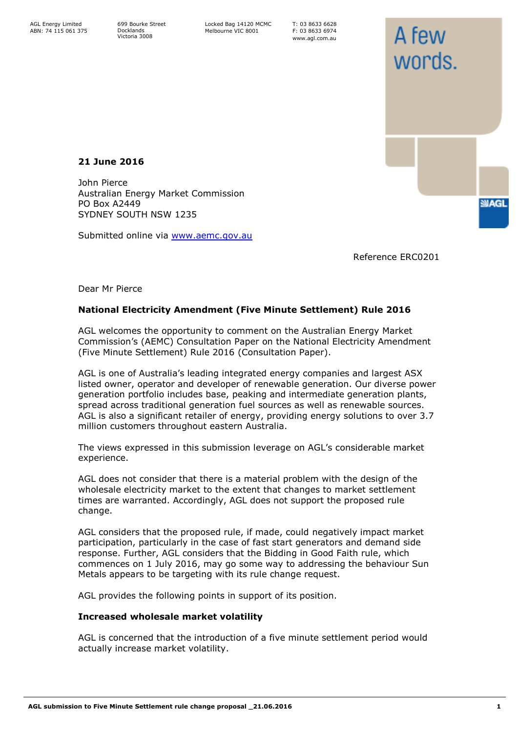699 Bourke Street Docklands Victoria 3008

Locked Bag 14120 MCMC Melbourne VIC 8001

T: 03 8633 6628 F: 03 8633 6974 www.agl.com.au

**21 June 2016**

John Pierce Australian Energy Market Commission PO Box A2449 SYDNEY SOUTH NSW 1235

Submitted online via [www.aemc.gov.au](http://www.aemc.gov.au/)

Reference ERC0201

A few

words.

**SMAGL** 

Dear Mr Pierce

## **National Electricity Amendment (Five Minute Settlement) Rule 2016**

AGL welcomes the opportunity to comment on the Australian Energy Market Commission's (AEMC) Consultation Paper on the National Electricity Amendment (Five Minute Settlement) Rule 2016 (Consultation Paper).

AGL is one of Australia's leading integrated energy companies and largest ASX listed owner, operator and developer of renewable generation. Our diverse power generation portfolio includes base, peaking and intermediate generation plants, spread across traditional generation fuel sources as well as renewable sources. AGL is also a significant retailer of energy, providing energy solutions to over 3.7 million customers throughout eastern Australia.

The views expressed in this submission leverage on AGL's considerable market experience.

AGL does not consider that there is a material problem with the design of the wholesale electricity market to the extent that changes to market settlement times are warranted. Accordingly, AGL does not support the proposed rule change.

AGL considers that the proposed rule, if made, could negatively impact market participation, particularly in the case of fast start generators and demand side response. Further, AGL considers that the Bidding in Good Faith rule, which commences on 1 July 2016, may go some way to addressing the behaviour Sun Metals appears to be targeting with its rule change request.

AGL provides the following points in support of its position.

## **Increased wholesale market volatility**

AGL is concerned that the introduction of a five minute settlement period would actually increase market volatility.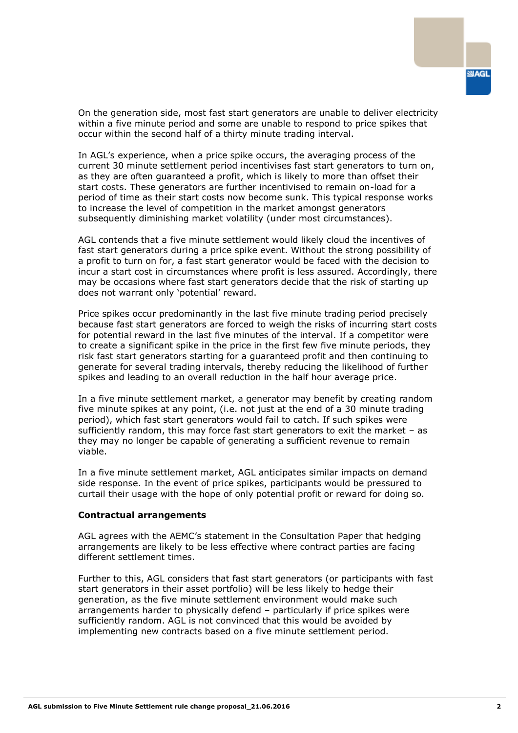On the generation side, most fast start generators are unable to deliver electricity within a five minute period and some are unable to respond to price spikes that occur within the second half of a thirty minute trading interval.

In AGL's experience, when a price spike occurs, the averaging process of the current 30 minute settlement period incentivises fast start generators to turn on, as they are often guaranteed a profit, which is likely to more than offset their start costs. These generators are further incentivised to remain on-load for a period of time as their start costs now become sunk. This typical response works to increase the level of competition in the market amongst generators subsequently diminishing market volatility (under most circumstances).

AGL contends that a five minute settlement would likely cloud the incentives of fast start generators during a price spike event. Without the strong possibility of a profit to turn on for, a fast start generator would be faced with the decision to incur a start cost in circumstances where profit is less assured. Accordingly, there may be occasions where fast start generators decide that the risk of starting up does not warrant only 'potential' reward.

Price spikes occur predominantly in the last five minute trading period precisely because fast start generators are forced to weigh the risks of incurring start costs for potential reward in the last five minutes of the interval. If a competitor were to create a significant spike in the price in the first few five minute periods, they risk fast start generators starting for a guaranteed profit and then continuing to generate for several trading intervals, thereby reducing the likelihood of further spikes and leading to an overall reduction in the half hour average price.

In a five minute settlement market, a generator may benefit by creating random five minute spikes at any point, (i.e. not just at the end of a 30 minute trading period), which fast start generators would fail to catch. If such spikes were sufficiently random, this may force fast start generators to exit the market – as they may no longer be capable of generating a sufficient revenue to remain viable.

In a five minute settlement market, AGL anticipates similar impacts on demand side response. In the event of price spikes, participants would be pressured to curtail their usage with the hope of only potential profit or reward for doing so.

## **Contractual arrangements**

AGL agrees with the AEMC's statement in the Consultation Paper that hedging arrangements are likely to be less effective where contract parties are facing different settlement times.

Further to this, AGL considers that fast start generators (or participants with fast start generators in their asset portfolio) will be less likely to hedge their generation, as the five minute settlement environment would make such arrangements harder to physically defend – particularly if price spikes were sufficiently random. AGL is not convinced that this would be avoided by implementing new contracts based on a five minute settlement period.